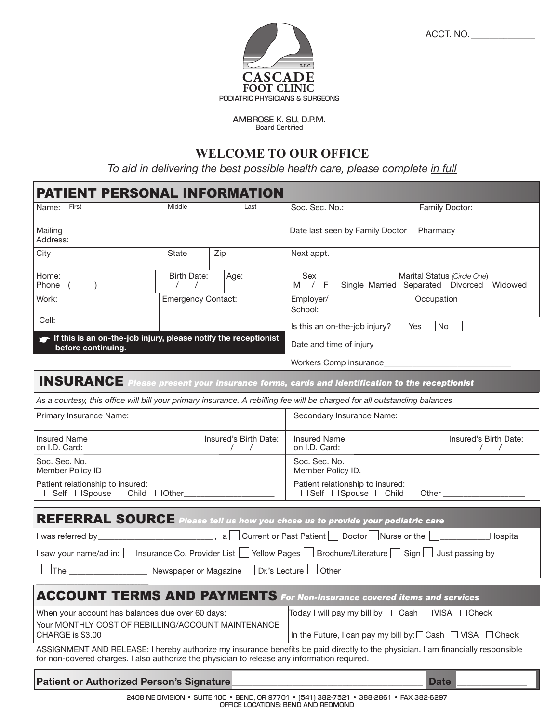

ACCT. NO. \_\_\_\_\_\_\_\_\_\_\_\_\_\_

AMBROSE K. SU, D.P.M. Board Certified

## **WELCOME TO OUR OFFICE**

*To aid in delivering the best possible health care, please complete in full*

| <b>IENT PERSONAL INFORMATION</b>                                                                                                                                                                                                 |                                                   |      |                                                                                          |                                                    |             |                       |  |
|----------------------------------------------------------------------------------------------------------------------------------------------------------------------------------------------------------------------------------|---------------------------------------------------|------|------------------------------------------------------------------------------------------|----------------------------------------------------|-------------|-----------------------|--|
| First<br>Name:                                                                                                                                                                                                                   | Middle                                            | Last | Soc. Sec. No.:                                                                           |                                                    |             | Family Doctor:        |  |
| Mailing<br>Address:                                                                                                                                                                                                              |                                                   |      |                                                                                          | Date last seen by Family Doctor                    | Pharmacy    |                       |  |
| City                                                                                                                                                                                                                             | State                                             | Zip  | Next appt.                                                                               |                                                    |             |                       |  |
| Home:<br>Phone<br>$\left($                                                                                                                                                                                                       | <b>Birth Date:</b><br>$\sqrt{2}$<br>$\prime$      | Age: | Sex<br>Marital Status (Circle One)<br>M / F<br>Single Married Separated Divorced Widowed |                                                    |             |                       |  |
| Work:                                                                                                                                                                                                                            | <b>Emergency Contact:</b>                         |      | Occupation<br>Employer/<br>School:                                                       |                                                    |             |                       |  |
| Cell:                                                                                                                                                                                                                            |                                                   |      |                                                                                          | Is this an on-the-job injury? Yes $\Box$ No $\Box$ |             |                       |  |
| $\blacktriangleright$ If this is an on-the-job injury, please notify the receptionist<br>before continuing.                                                                                                                      |                                                   |      |                                                                                          |                                                    |             |                       |  |
|                                                                                                                                                                                                                                  |                                                   |      |                                                                                          |                                                    |             |                       |  |
| <b>INSURANCE</b> Please present your insurance forms, cards and identification to the receptionist                                                                                                                               |                                                   |      |                                                                                          |                                                    |             |                       |  |
| As a courtesy, this office will bill your primary insurance. A rebilling fee will be charged for all outstanding balances.                                                                                                       |                                                   |      |                                                                                          |                                                    |             |                       |  |
| Primary Insurance Name:                                                                                                                                                                                                          |                                                   |      |                                                                                          | Secondary Insurance Name:                          |             |                       |  |
| <b>Insured Name</b><br>on I.D. Card:                                                                                                                                                                                             | Insured's Birth Date:<br>$\sqrt{2}$<br>$\sqrt{2}$ |      | <b>Insured Name</b><br>on I.D. Card:<br>$\prime$<br>$\sqrt{2}$                           |                                                    |             | Insured's Birth Date: |  |
| Soc. Sec. No.<br>Member Policy ID                                                                                                                                                                                                |                                                   |      | Soc. Sec. No.<br>Member Policy ID.                                                       |                                                    |             |                       |  |
| Patient relationship to insured:<br>□Self □Spouse □Child □Other___________________                                                                                                                                               |                                                   |      | Patient relationship to insured:<br>□ Self □ Spouse □ Child □ Other ____________         |                                                    |             |                       |  |
|                                                                                                                                                                                                                                  |                                                   |      |                                                                                          |                                                    |             |                       |  |
| REFERRAL SOURCE Please tell us how you chose us to provide your podiatric care                                                                                                                                                   |                                                   |      |                                                                                          |                                                    |             |                       |  |
| I saw your name/ad in: □ Insurance Co. Provider List □ Yellow Pages □ Brochure/Literature □ Sign □ Just passing by                                                                                                               |                                                   |      |                                                                                          |                                                    |             |                       |  |
| JThe _________________________ Newspaper or Magazine □ Dr.'s Lecture □ Other                                                                                                                                                     |                                                   |      |                                                                                          |                                                    |             |                       |  |
| <b>ACCOUNT TERMS AND PAYMENTS</b> For Non-Insurance covered items and services                                                                                                                                                   |                                                   |      |                                                                                          |                                                    |             |                       |  |
| When your account has balances due over 60 days:                                                                                                                                                                                 |                                                   |      |                                                                                          | Today I will pay my bill by □ Cash □ VISA □ Check  |             |                       |  |
| Your MONTHLY COST OF REBILLING/ACCOUNT MAINTENANCE<br>CHARGE is \$3.00                                                                                                                                                           |                                                   |      | In the Future, I can pay my bill by: $\Box$ Cash $\Box$ VISA $\Box$ Check                |                                                    |             |                       |  |
| ASSIGNMENT AND RELEASE: I hereby authorize my insurance benefits be paid directly to the physician. I am financially responsible<br>for non-covered charges. I also authorize the physician to release any information required. |                                                   |      |                                                                                          |                                                    |             |                       |  |
| Patient or Authorized Person's Signature                                                                                                                                                                                         |                                                   |      |                                                                                          |                                                    | <b>Date</b> |                       |  |